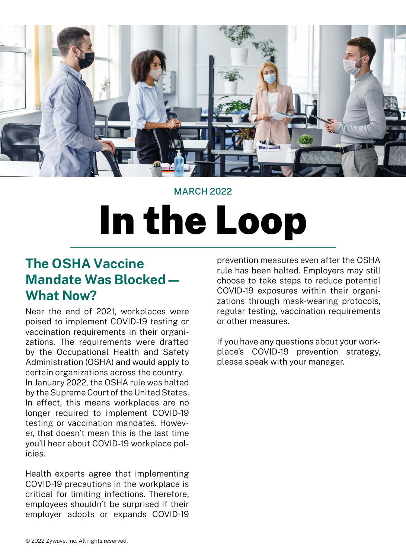

# MARCH 2022

# In the Loop

# **The OSHA Vaccine Mandate Was Blocked— What Now?**

Near the end of 2021, workplaces were poised to implement COVID-19 testing or vaccination requirements in their organizations. The requirements were drafted by the Occupational Health and Safety Administration (OSHA) and would apply to certain organizations across the country.

In January 2022, the OSHA rule was halted by the Supreme Court of the United States. In effect, this means workplaces are no longer required to implement COVID-19 testing or vaccination mandates. However, that doesn't mean this is the last time you'll hear about COVID-19 workplace policies.

Health experts agree that implementing COVID-19 precautions in the workplace is critical for limiting infections. Therefore, employees shouldn't be surprised if their employer adopts or expands COVID-19

prevention measures even after the OSHA rule has been halted. Employers may still choose to take steps to reduce potential COVID-19 exposures within their organizations through mask-wearing protocols, regular testing, vaccination requirements or other measures.

If you have any questions about your workplace's COVID-19 prevention strategy, please speak with your manager.